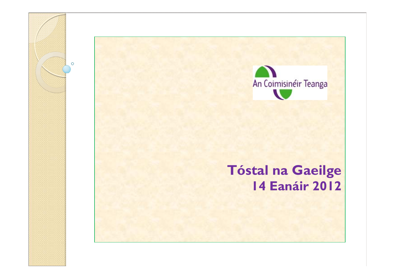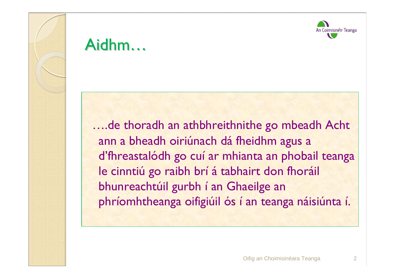



### Aidhm…

….de thoradh an athbhreithnithe go mbeadh Acht ann a bheadh oiriúnach dá fheidhm agus a d'fhreastalódh go cuí ar mhianta an phobail teanga le cinntiú go raibh brí <sup>á</sup> tabhairt don fhoráil bhunreachtúil gurbh í an Ghaeilge an <sup>p</sup>hríomhtheanga oifigiúil ós í an teanga náisiúnta í.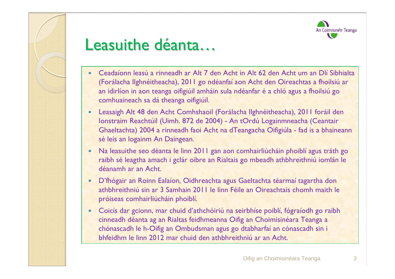



### Leasuithe déanta…

- 0 Ceadaíonn leasú a rinneadh ar Alt 7 den Acht in Alt 62 den Acht um an Dlí Sibhialta (Forálacha Ilghnéitheacha), 2011 go ndéanfaí aon Acht den Oireachtas a fhoilsiú ar an idirlíon in aon teanga oifigiúil amháin sula ndéanfar é a chló agus a fhoilsiú go comhuaineach sa dá theanga oifigiúil.
- 0 Leasaigh Alt 48 den Acht Comhshaoil (Forálacha Ilghnéitheacha), 2011 foráil den Ionstraim Reachtúil (Uimh. 872 de 2004) - An tOrdú Logainmneacha (Ceantair Ghaeltachta) 2004 a rinneadh faoi Acht na dTeangacha Oifigiúla - fad is a bhaineann sé leis an logainm An Daingean.
- 0 Na leasuithe seo déanta le linn 2011 gan aon comhairliúcháin phoiblí agus tráth go raibh sé leagtha amach i gclár oibre an Rialtais go mbeadh athbhreithniú iomlán le déanamh ar an Acht.
- 0 D'fhógair an Roinn Ealaíon, Oidhreachta agus Gaeltachta téarmaí tagartha don athbhreithniú sin ar 3 Samhain 2011 le linn Féile an Oireachtais chomh maith le próiseas comhairliúcháin phoiblí.
- 0 Coicís dar gcionn, mar chuid d'athchóiriú na seirbhíse poiblí, fógraíodh go raibh cinneadh déanta ag an Rialtas feidhmeanna Oifig an Choimisinéara Teanga a chónascadh le h-Oifig an Ombudsman agus go dtabharfaí an cónascadh sin i bhfeidhm le linn 2012 mar chuid den athbhreithniú ar an Acht.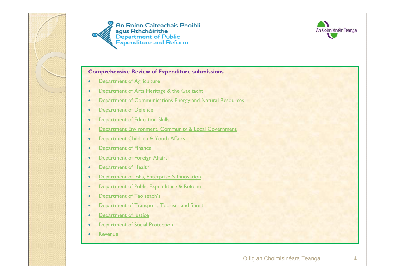





#### **Comprehensive Review of Expenditure submissions**

- $\bullet$ Department of Agriculture
- $\bullet$ Department of Arts Heritage & the Gaeltacht
- $\bullet$ Department of Communications Energy and Natural Resources
- $\bullet$ Department of Defence
- $\bullet$ Department of Education Skills
- $\bullet$ Department Environment, Community & Local Government
- $\bullet$ Department Children & Youth Affairs
- $\bullet$ Department of Finance
- $\bullet$ Department of Foreign Affairs
- $\bullet$ Department of Health
- $\bullet$ Department of Jobs, Enterprise & Innovation
- $\bullet$ Department of Public Expenditure & Reform
- $\bullet$ Department of Taoiseach's
- $\bullet$ Department of Transport, Tourism and Sport
- $\bullet$ Department of Justice
- $\bullet$ **Department of Social Protection**
- $\bullet$ Revenue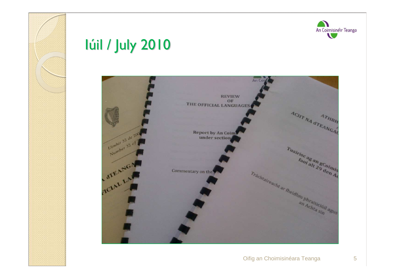



### Iúil / July 2010

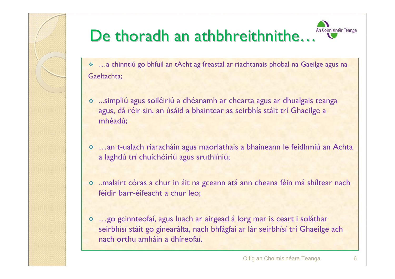

#### An Coimisinéir Teanga De thoradh an athbhreithnithe…

- …a chinntiú go bhfuil an tAcht ag freastal ar riachtanais phobal na Gaeilge agus na Gaeltachta;
- simpliú agus soiléiriú a dhéanamh ar chearta agus ar dhualgais teanga.<br>Saus dá réir sin an úsáid a bhaintear as seirbhís stáit trí Ghaeilge a agus, dá réir sin, an úsáid a bhaintear as seirbhís stáit trí Ghaeilge a mhéadú;
- …an t-ualach riaracháin agus maorlathais a bhaineann le feidhmiú an Achta».<br>Ia laghdú trí chuíchóiriú agus sruthlíniú: a laghdú trí chuíchóiriú agus sruthlíniú;
- ..malairt córas a chur in áit na gceann atá ann cheana féin má shíltear nach féidir barr-éifeacht a chur leo;
- e …go gcinnteofaí, agus luach ar airgead á lorg mar is ceart i soláthar. ﴾<br>Seirbhísí stáit go ginearálta, nach bhfágfaí ar lár seirbhísí trí Ghaeilge seirbhísí stáit go ginearálta, nach bhfágfaí ar lár seirbhísí trí Ghaeilge ach nach orthu amháin a dhíreofaí.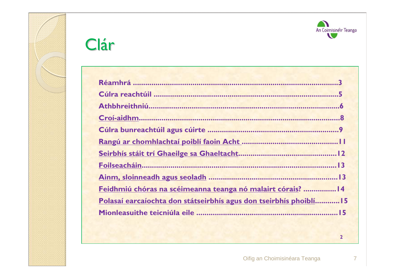



# Clár

**2**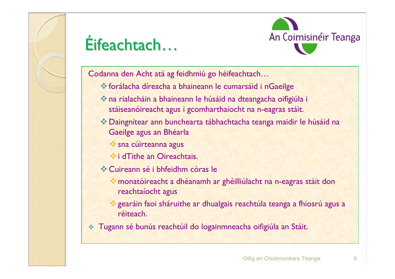

# Éifeachtach…



Codanna den Acht atá ag feidhmiú go héifeachtach…

- forálacha díreacha a bhaineann le cumarsáid i nGaeilge
- na rialacháin a bhaineann le húsáid na dteangacha oifigiúla i stáiseanóireacht agus i gcomharthaíocht na n-eagras stáit.
- Daingnítear ann bunchearta tábhachtacha teanga maidir le húsáid na Gaeilge agus an Bhéarla
	- **Sana cúirteanna agus**
	- $\bullet$  **i dTithe an Oireachtais.**
- Cuireann sé i bhfeidhm córas le
	- monatóireacht a dhéanamh ar ghéilliúlacht na n-eagras stáit don reachtaíocht agus
	- gearáin faoi sháruithe ar dhualgais reachtúla teanga a fhiosrú agus a réiteach.
- $\frac{1}{2}$ Tugann sé bunús reachtúil do logainmneacha oifigiúla an Stáit.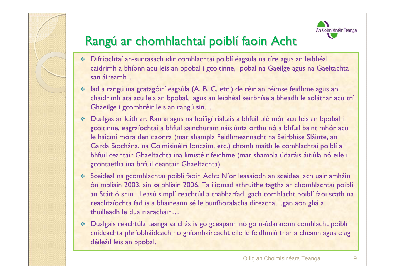



### Rangú ar chomhlachtaí poiblí faoin Acht

- Difríochtaí an-suntasach idir comhlachtaí poiblí éagsúla na tíre agus an leibhéal caidrimh a bhíonn acu leis an bpobal i gcoitinne, pobal na Gaeilge agus na Gaeltachta san áireamh…
- Iad a rangú ina gcatagóirí éagsúla (A, B, C, etc.) de réir an réimse feidhme agus an  $\sigma_{\rm eff}^{\rm th}$ chaidrimh atá acu leis an bpobal, agus an leibhéal seirbhíse a bheadh le soláthar acu trí Ghaeilge i gcomhréir leis an rangú sin…
- Dualgas ar leith ar: Ranna agus na hoifigí rialtais a bhfuil plé mór acu leis an bpobal i gcoitinne, eagraíochtaí a bhfuil sainchúram náisiúnta orthu nó a bhfuil baint mhór acu le haicmí móra den daonra (mar shampla Feidhmeannacht na Seirbhíse Sláinte, an Garda Síochána, na Coimisinéirí Ioncaim, etc.) chomh maith le comhlachtaí poiblí <sup>a</sup> bhfuil ceantair Ghaeltachta ina limistéir feidhme (mar shampla údaráis áitiúla nó eile i gcontaetha ina bhfuil ceantair Ghaeltachta).
- Sceideal na gcomhlachtaí poiblí faoin Acht: Níor leasaíodh an sceideal ach uair amháin كمكرمة Sceideal na gcomhlachtaí poiblí<br>Án mhliain 2003, sin sa bhliain 2006. Tá iliomad athruithe tagtha ar chomhlachtaí poiblí ón mbliain 2003, sin sa bhliain 2006. Tá iliomad athruithe tagtha ar chomhlachtaí poiblí an Stáit ó shin. Leasú simplí reachtúil a thabharfad gach comhlacht poiblí faoi scáth na reachtaíochta fad is a bhaineann sé le bunfhorálacha díreacha…gan aon ghá <sup>a</sup> thuilleadh le dua riaracháin…
- Dualgais reachtúla teanga sa chás is go gceapann nó go n-údaraíonn comhlacht poiblí cuideachta phríobháideach nó gníomhaireacht eile le feidhmiú thar a cheann agus é ag déileáil leis an bpobal.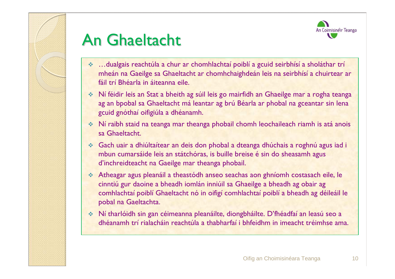



### An Ghaeltacht

- ❖ …dualgais reachtúla a chur ar chomhlachtaí poiblí a gcuid seirbhísí a sholáthar trí mheán na Gaeilge sa Ghaeltacht ar chomhchaighdeán leis na seirbhísí a chuirtear ar fáil trí Bhéarla in áiteanna eile.
- Ní féidir leis an Stat a bheith ag súil leis go mairfidh an Ghaeilge mar a rogha teanga ag an bpobal sa Ghaeltacht má leantar ag brú Béarla ar phobal na gceantar sin lena gcuid gnóthaí oifigiúla a dhéanamh.
- Mí raibh staid na teanga mar theanga phobail chomh leochaileach riamh is atá anois<br>sa Ghaeltacht sa Ghaeltacht.
- Gach uair a dhiúltaítear an deis don phobal a dteanga dhúchais a roghnú agus iad i mbun cumarsáide leis an státchóras, is buille breise é sin do sheasamh agus d'inchreidteacht na Gaeilge mar theanga phobail.
- Atheagar agus pleanáil a theastódh anseo seachas aon ghníomh costasach eile, le cinntiú gur daoine a bheadh iomlán inniúil sa Ghaeilge a bheadh ag obair ag comhlachtaí poiblí Ghaeltacht nó in oifigí comhlachtaí poiblí a bheadh ag déileáil le pobal na Gaeltachta.
- Ní tharlóidh sin gan céimeanna pleanáilte, diongbháilte. D'fhéadfaí an leasú seo a dhéanamh trí rialacháin reachtúla a thabharfaí i bhfeidhm in imeacht tréimhse ama.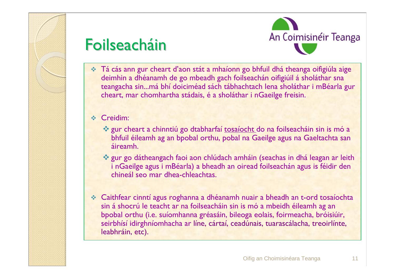

### Foilseacháin



 Tá cás ann gur cheart d'aon stát a mhaíonn go bhfuil dhá theanga oifigiúla aige deimhin a dhéanamh de go mbeadh gach foilseachán oifigiúil á sholáthar sna teangacha sin...má bhí doiciméad sách tábhachtach lena sholáthar i mBéarla gur cheart, mar chomhartha stádais, é a sholáthar i nGaeilge freisin.

❖ Creidim:

- gur cheart a chinntiú go dtabharfaí <u>tosaíocht d</u>o na foilseacháin sin is mó a tha bhfuil éileamh ag an bnobal orthu, pobal na Gaeilge agus na Gaeltachta san bhfuil éileamh ag an bpobal orthu, pobal na Gaeilge agus na Gaeltachta san áireamh.
- gur go dátheangach faoi aon chlúdach amháin (seachas in dhá leagan ar leith لأنهب i nGaeilge agus i mBéarla) a bheadh an oiread foilseachán agus is féidir den i nGaeilge agus i mBéarla) a bheadh an oiread foilseachán agus is féidir den chineál seo mar dhea-chleachtas.
- ◆ Caithfear cinntí agus roghanna a dhéanamh nuair a bheadh an t-ord tosaíochta<br>sin á shocrú le teacht ar na foilseacháin sin is mó a mbeidh éileamh ag an sin á shocrú le teacht ar na foilseacháin sin is mó a mbeidh éileamh ag an bpobal orthu (i.e. suíomhanna gréasáin, bileoga eolais, foirmeacha, bróisiúir, seirbhísí idirghníomhacha ar líne, cártaí, ceadúnais, tuarascálacha, treoirlínte,<br>leabhráin, etc). leabhráin, etc).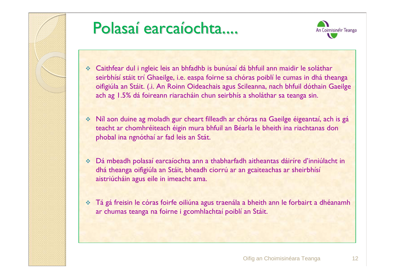

# Polasaí earcaíochta....



- Caithfear dul i ngleic leis an bhfadhb is bunúsaí dá bhfuil ann maidir le soláthar seirbhísí stáit trí Ghaeilge, i.e. easpa foirne sa chóras poiblí le cumas in dhá theanga oifigiúla an Stáit. (.i. An Roinn Oideachais agus Scileanna, nach bhfuil dóthain Gaeilge ach ag 1.5% dá foireann riaracháin chun seirbhís a sholáthar sa teanga sin.
- Níl aon duine ag moladh gur cheart filleadh ar chóras na Gaeilge éigeantaí, ach is gá teacht ar chomhréiteach éigin mura bhfuil an Béarla le bheith ina riachtanas don <sup>p</sup>hobal ina ngnóthaí ar fad leis an Stát.
- Dá mbeadh polasaí earcaíochta ann a thabharfadh aitheantas dáiríre d'inniúlacht in dhá theanga oifigiúla an Stáit, bheadh ciorrú ar an gcaiteachas ar sheirbhísí aistriúcháin agus eile in imeacht ama.
- Tá <sup>g</sup><sup>á</sup> freisin le córas foirfe oiliúna agus traenála a bheith ann le forbairt a dhéanamh ar chumas teanga na foirne i gcomhlachtaí poiblí an Stáit.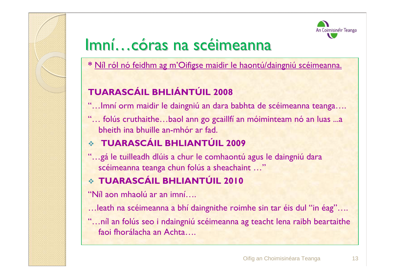

### Imní…córas na scéimeanna

**\*** Níl ról nó feidhm ag m'Oifigse maidir le haontú/daingniú scéimeanna.

#### **TUARASCÁIL BHLIÁNTÚIL 2008**

- "…Imní orm maidir le daingniú an dara babhta de scéimeanna teanga….
- "… folús cruthaithe…baol ann go gcaillfí an móiminteam nó an luas …a .<br>bheith ina bhuille an-mhór ar fad bheith ina bhuille an-mhór ar fad.

### **TUARASCÁIL BHLIANTÚIL 2009**

"…gá le tuilleadh dlúis a chur le comhaontú agus le daingniú dara scéimeanna teanga chun folús a sheachaint …"

### **TUARASCÁIL BHLIANTÚIL 2010**

"Níl aon mhaolú ar an imní….

…leath na scéimeanna a bhí daingnithe roimhe sin tar éis dul "in éag"….

"…níl an folús seo i ndaingniú scéimeanna ag teacht lena raibh beartaithe faoi fhorálacha an Achta….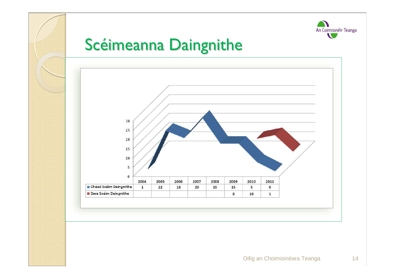

### Scéimeanna Daingnithe

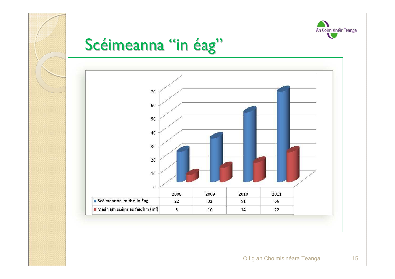

### Scéimeanna "in éag"

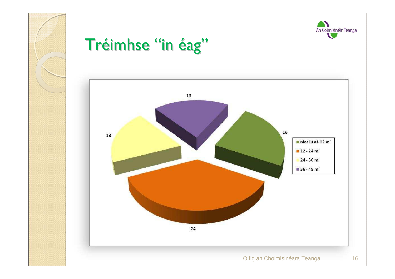



<sup>16</sup>

# Tréimhse "in éag"

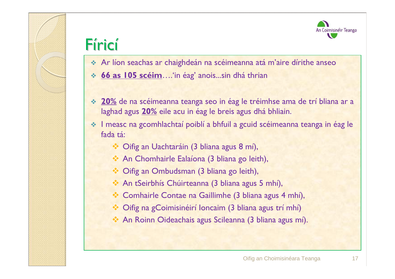



### Fíricí

- Ar líon seachas ar chaighdeán na scéimeanna atá <sup>m</sup>'aire dírithe anseo
- **66 as 105 scéim**….'in éag' anois...sin dhá thrian
- **20%** de na scéimeanna teanga seo in éag le tréimhse ama de trí bliana ar a ملاحظته المسابق anna de trí bliana ar a<br>Iaghad agus **20%** eile acu in éag le breis agus dhá bhliain laghad agus **20%** eile acu in éag le breis agus dhá bhliain.
- I measc na gcomhlachtaí poiblí a bhfuil a gcuid scéimeanna teanga in éag le fada tá:
	- Oifig an Uachtaráin (3 bliana agus 8 mí),
	- An Chomhairle Ealaíona (3 bliana go leith),
	- $\bullet$  Oifig an Ombudsman (3 bliana go leith),
	- An tSeirbhís Chúirteanna (3 bliana agus 5 mhí),
	- \* Comhairle Contae na Gaillimhe (3 bliana agus 4 mhí),
	- Oifig na gCoimisinéirí Ioncaim (3 bliana agus trí mhí)
	- An Roinn Oideachais agus Scileanna (3 bliana agus mí).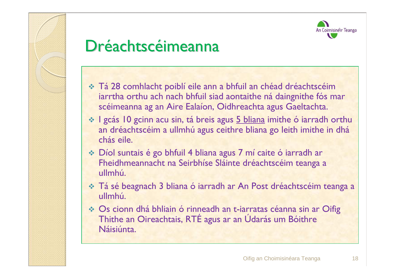

### Dréachtscéimeanna

- Tá 28 comhlacht poiblí eile ann a bhfuil an chéad dréachtscéim iarrtha orthu ach nach bhfuil siad aontaithe ná daingnithe fós mar scéimeanna ag an Aire Ealaíon, Oidhreachta agus Gaeltachta.
- $\cdot$ l gcás 10 gcinn acu sin, tá breis agus <u>5 bliana</u> imithe ó iarradh orthu an dréachtscéim a ullmhú agus ceithre bliana go leith imithe in dhá an dréachtscéim a ullmhú agus ceithre bliana go leith imithe in dhá chás eile.
- Díol suntais é go bhfuil 4 bliana agus 7 mí caite ó iarradh ar Fheidhmeannacht na Seirbhíse Sláinte dréachtscéim teanga a ullmhú.
- Tá sé beagnach 3 bliana ó iarradh ar An Post dréachtscéim teanga a ullmhú.
- ❖ Os cionn dhá bhliain ó rinneadh an t-iarratas céanna sin ar Oifig Thithe an Oireachtais, RTÉ agus ar an Údarás um Bóithre Náisiúnta.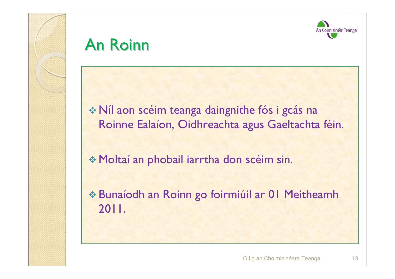



### An Roinn

 Níl aon scéim teanga daingnithe fós i gcás na Roinne Ealaíon, Oidhreachta agus Gaeltachta féin.

Moltaí an phobail iarrtha don scéim sin.

 Bunaíodh an Roinn go foirmiúil ar 01 Meitheamh 2011.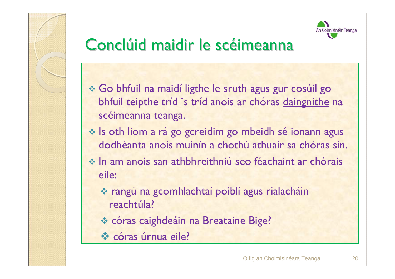



### Conclúid maidir le scéimeanna

- Go bhfuil na maidí ligthe le sruth agus gur cosúil go \*\*<br>bhfuil teinthe tríd 's tríd anois ar chóras daingnithe i bhfuil teipthe tríd 's tríd anois ar chóras <u>daingnithe</u> na scéimeanna teanga.
- Is oth liom a rá go gcreidim go mbeidh sé ionann agus<br>dodhéanta anois muinín a chothú athuair sa chóras sir dodhéanta anois muinín a chothú athuair sa chóras sin.
- In am anois san athbhreithniú seo féachaint ar chórais<br>eile: eile:
	- \* rangú na gcomhlachtaí poiblí agus rialacháin<br>reachtúla? reachtúla?
	- córas caighdeáin na Breataine Bige?
	- <u>\* córas úrnua eile?</u>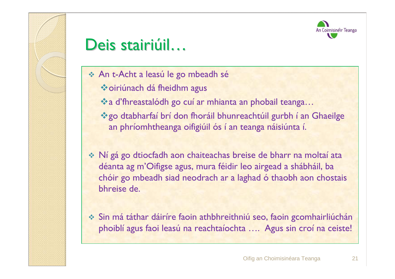



### Deis stairiúil…

- **An t-Acht a leasú le go mbeadh sé<br>An t-iúlaidh ais do chl** 
	- oiriúnach dá fheidhm agus
	- a d'fhreastalódh go cuí ar mhianta an phobail teanga…
	- go dtabharfaí brí don fhoráil bhunreachtúil gurbh í an Ghaeilge an phríomhtheanga oifigiúil ós í an teanga náisiúnta í.
- $\cdot$  Ní gá go dtiocfadh aon chaiteachas breise de bharr na moltaí ata<br>déanta ag m'Oifigse agus, mura féidir leo airgead a shábháil, ba déanta ag m'Oifigse agus, mura féidir leo airgead a shábháil, ba chóir go mbeadh siad neodrach ar a laghad ó thaobh aon chostais bhreise de.
- Sin má táthar dáiríre faoin athbhreithniú seo, faoin gcomhairliúchán<br>Doloiblí agus faoi leasú na reachtaíochta Agus sin croí na ceistel <sup>p</sup>hoiblí agus faoi leasú na reachtaíochta …. Agus sin croí na ceiste!